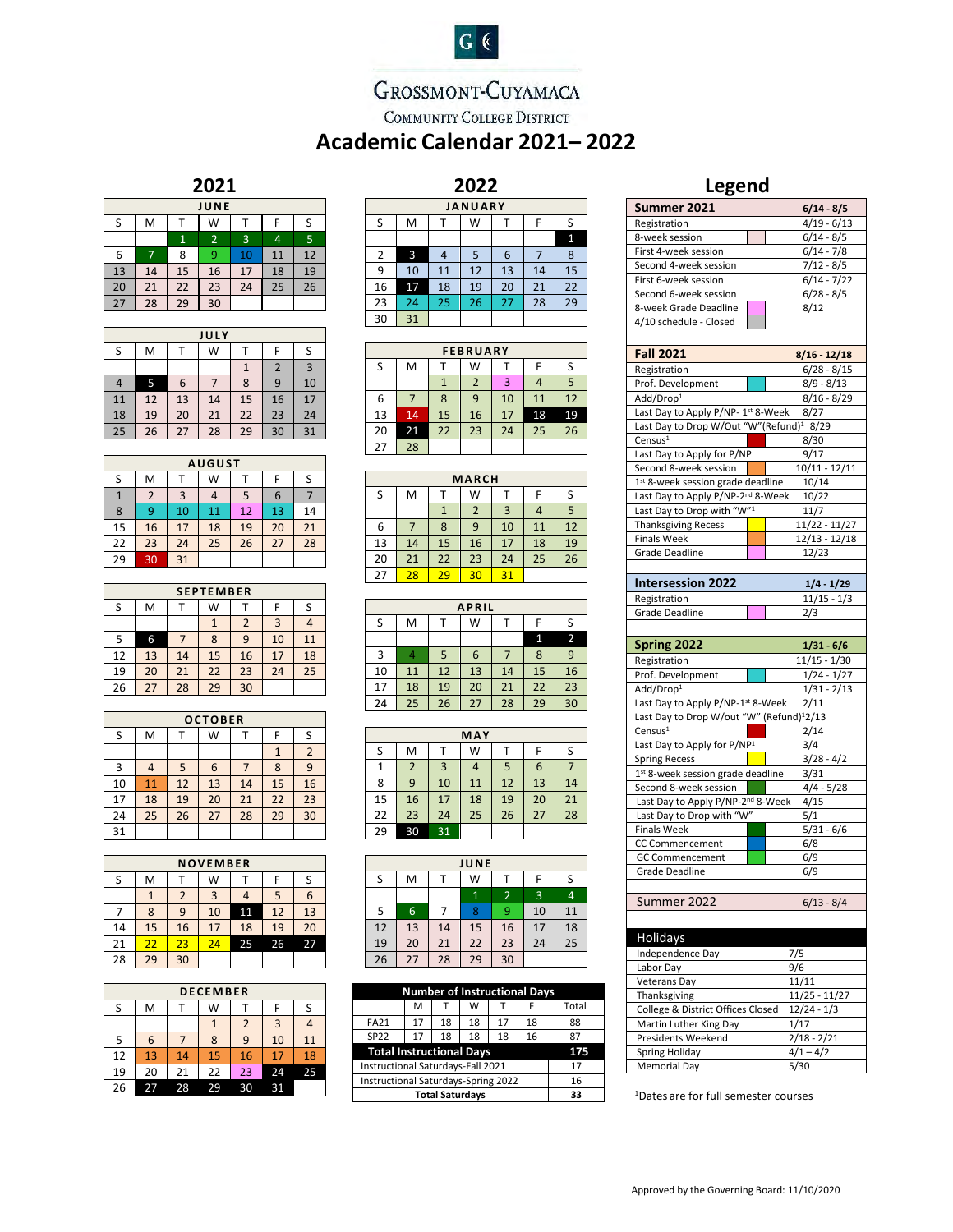# GROSSMONT-CUYAMACA

 $G($ 

COMMUNITY COLLEGE DISTRICT

# **Academic Calendar 2021– 2022**

**2022**

### **2021**

| JUNE |    |    |                |    |    |                |  |  |
|------|----|----|----------------|----|----|----------------|--|--|
| S    | M  |    | W              |    | F  | S              |  |  |
|      |    | 1  | $\overline{2}$ | 3  | 4  | $\overline{5}$ |  |  |
| 6    | 7  | 8  | 9              | 10 | 11 | 12             |  |  |
| 13   | 14 | 15 | 16             | 17 | 18 | 19             |  |  |
| 20   | 21 | 22 | 23             | 24 | 25 | 26             |  |  |
| 27   | 28 | 29 | 30             |    |    |                |  |  |

|    | JULY |    |    |    |                |    |  |  |  |
|----|------|----|----|----|----------------|----|--|--|--|
| S  | M    |    | W  |    | F              | S  |  |  |  |
|    |      |    |    |    | $\overline{2}$ | 3  |  |  |  |
| 4  | 5    | 6  |    | 8  | 9              | 10 |  |  |  |
| 11 | 12   | 13 | 14 | 15 | 16             | 17 |  |  |  |
| 18 | 19   | 20 | 21 | 22 | 23             | 24 |  |  |  |
| 25 | 26   | 27 | 28 | 29 | 30             | 31 |  |  |  |

| <b>AUGUST</b> |                |    |    |    |    |    |  |  |
|---------------|----------------|----|----|----|----|----|--|--|
| S             | M              |    | W  |    |    |    |  |  |
|               | $\overline{2}$ | 3  |    | 5  | 6  |    |  |  |
| 8             | 9              | 10 | 11 | 12 | 13 | 14 |  |  |
| 15            | 16             | 17 | 18 | 19 | 20 | 21 |  |  |
| 22            | 23             | 24 | 25 | 26 | 27 | 28 |  |  |
| 29            | 30             | 31 |    |    |    |    |  |  |

| <b>SEPTEMBER</b> |    |    |    |                |                |    |  |  |
|------------------|----|----|----|----------------|----------------|----|--|--|
| S                | M  |    | W  |                |                |    |  |  |
|                  |    |    | 1  | $\overline{2}$ | $\overline{3}$ |    |  |  |
| 5                | 6  |    | 8  | 9              | 10             | 11 |  |  |
| 12               | 13 | 14 | 15 | 16             | 17             | 18 |  |  |
| 19               | 20 | 21 | 22 | 23             | 24             | 25 |  |  |
| 26               | 27 | 28 | 29 | 30             |                |    |  |  |

| <b>OCTOBER</b> |    |    |    |    |    |                         |  |  |
|----------------|----|----|----|----|----|-------------------------|--|--|
| S              | M  |    | W  |    | F  | S                       |  |  |
|                |    |    |    |    |    | $\overline{\mathbf{c}}$ |  |  |
| 3              |    | 5  | 6  |    | 8  | 9                       |  |  |
| 10             | 11 | 12 | 13 | 14 | 15 | 16                      |  |  |
| 17             | 18 | 19 | 20 | 21 | 22 | $\overline{23}$         |  |  |
| 24             | 25 | 26 | 27 | 28 | 29 | 30                      |  |  |
| 31             |    |    |    |    |    |                         |  |  |

| <b>NOVEMBER</b> |    |                |                |    |    |    |  |
|-----------------|----|----------------|----------------|----|----|----|--|
| S               | M  |                | W              |    | F  | S  |  |
|                 | 1  | $\overline{2}$ | $\overline{3}$ |    | 5  | 6  |  |
|                 | 8  | 9              | 10             | 11 | 12 | 13 |  |
| 14              | 15 | 16             | 17             | 18 | 19 | 20 |  |
| 21              | 22 | 23             | 24             | 25 | 26 | 27 |  |
| 28              | 29 | 30             |                |    |    |    |  |

|    | <b>DECEMBER</b> |    |    |                |    |    |  |  |
|----|-----------------|----|----|----------------|----|----|--|--|
| S  | M               |    | W  |                |    |    |  |  |
|    |                 |    |    | $\overline{2}$ | 3  |    |  |  |
| 5  | 6               |    | 8  | 9              | 10 | 11 |  |  |
| 12 | 13              | 14 | 15 | 16             | 17 | 18 |  |  |
| 19 | 20              | 21 | 22 | 23             | 24 | 25 |  |  |
| 26 | 27              | 28 | 29 | 30             | 31 |    |  |  |

| <b>JANUARY</b> |    |    |    |    |    |    |  |  |
|----------------|----|----|----|----|----|----|--|--|
| S              | M  |    | W  |    | F  | S  |  |  |
|                |    |    |    |    |    | 1  |  |  |
| 2              | 3  | 4  | 5  | 6  |    | 8  |  |  |
| 9              | 10 | 11 | 12 | 13 | 14 | 15 |  |  |
| 16             | 17 | 18 | 19 | 20 | 21 | 22 |  |  |
| 23             | 24 | 25 | 26 | 27 | 28 | 29 |  |  |
| 30             | 31 |    |    |    |    |    |  |  |

|    | <b>FEBRUARY</b> |    |    |    |    |    |  |  |
|----|-----------------|----|----|----|----|----|--|--|
| S  | M               |    | W  |    | F  | S  |  |  |
|    |                 |    | 2  | 3  |    | 5  |  |  |
| 6  |                 | 8  | q  | 10 | 11 | 12 |  |  |
| 13 | 14              | 15 | 16 | 17 | 18 | 19 |  |  |
| 20 | 21              | 22 | 23 | 24 | 25 | 26 |  |  |
| 27 | 28              |    |    |    |    |    |  |  |

| <b>MARCH</b> |    |    |                |    |    |    |  |  |
|--------------|----|----|----------------|----|----|----|--|--|
| S            | М  |    | W              |    |    | S  |  |  |
|              |    |    | $\overline{2}$ | 3  |    | 5  |  |  |
| 6            |    | 8  | 9              | 10 | 11 | 12 |  |  |
| 13           | 14 | 15 | 16             | 17 | 18 | 19 |  |  |
| 20           | 21 | 22 | 23             | 24 | 25 | 26 |  |  |
| 27           | 28 | 29 | 30             | 31 |    |    |  |  |

| <b>APRIL</b> |    |    |    |    |    |                |  |
|--------------|----|----|----|----|----|----------------|--|
| S            | M  |    | W  |    | F  | S              |  |
|              |    |    |    |    |    | $\overline{2}$ |  |
| 3            |    | 5  | 6  |    | 8  | 9              |  |
| 10           | 11 | 12 | 13 | 14 | 15 | 16             |  |
| 17           | 18 | 19 | 20 | 21 | 22 | 23             |  |
| 24           | 25 | 26 | 27 | 28 | 29 | 30             |  |

|    | MAY            |    |    |    |    |    |  |  |  |
|----|----------------|----|----|----|----|----|--|--|--|
| S  | М              |    | W  |    | F  | S  |  |  |  |
| 1  | $\overline{2}$ | 3  | 4  | 5  | 6  |    |  |  |  |
| 8  | 9              | 10 | 11 | 12 | 13 | 14 |  |  |  |
| 15 | 16             | 17 | 18 | 19 | 20 | 21 |  |  |  |
| 22 | 23             | 24 | 25 | 26 | 27 | 28 |  |  |  |
| 29 | 30             | 31 |    |    |    |    |  |  |  |

| JUNE |    |    |              |                |    |                |  |
|------|----|----|--------------|----------------|----|----------------|--|
| S    | M  |    | W            |                | F  | S              |  |
|      |    |    | $\mathbf{1}$ | $\overline{2}$ | 3  | $\overline{4}$ |  |
| 5    | 6  |    | 8            | 9              | 10 | 11             |  |
| 12   | 13 | 14 | 15           | 16             | 17 | 18             |  |
| 19   | 20 | 21 | 22           | 23             | 24 | 25             |  |
| 26   | 27 | 28 | 29           | 30             |    |                |  |

| <b>Number of Instructional Days</b> |    |    |    |    |    |       |
|-------------------------------------|----|----|----|----|----|-------|
|                                     | м  |    | W  |    |    | Total |
| FA21                                | 17 | 18 | 18 | 17 | 18 | 88    |
| <b>SP22</b>                         | 17 | 18 | 18 | 18 | 16 | 87    |
| <b>Total Instructional Days</b>     |    |    |    |    |    | 175   |
| Instructional Saturdays-Fall 2021   |    |    |    |    | 17 |       |
| Instructional Saturdays-Spring 2022 |    |    |    |    | 16 |       |
| <b>Total Saturdays</b>              |    |    |    |    | 33 |       |

## **Legend**

| Summer 2021                                                                  | $6/14 - 8/5$                   |
|------------------------------------------------------------------------------|--------------------------------|
| Registration                                                                 | $4/19 - 6/13$                  |
| 8-week session                                                               | $6/14 - 8/5$                   |
| First 4-week session                                                         | $6/14 - 7/8$                   |
| Second 4-week session                                                        | $7/12 - 8/5$                   |
| First 6-week session                                                         | $6/14 - 7/22$                  |
| Second 6-week session                                                        | $6/28 - 8/5$                   |
| 8-week Grade Deadline                                                        | 8/12                           |
| 4/10 schedule - Closed                                                       |                                |
|                                                                              |                                |
| <b>Fall 2021</b>                                                             | 8/16 - 12/18                   |
| Registration                                                                 | $6/28 - 8/15$                  |
| Prof. Development                                                            | $8/9 - 8/13$                   |
| Add/Drop <sup>1</sup>                                                        | $8/16 - 8/29$                  |
| Last Day to Apply P/NP-1st 8-Week                                            | 8/27                           |
| Last Day to Drop W/Out "W" (Refund) <sup>1</sup> 8/29                        |                                |
| Census <sup>1</sup>                                                          | 8/30                           |
| Last Day to Apply for P/NP                                                   | 9/17                           |
| Second 8-week session                                                        | 10/11 - 12/11                  |
| 1st 8-week session grade deadline                                            | 10/14                          |
| Last Day to Apply P/NP-2nd 8-Week                                            | 10/22                          |
| Last Day to Drop with "W"1                                                   | 11/7                           |
| <b>Thanksgiving Recess</b>                                                   | $11/22 - 11/27$                |
| <b>Finals Week</b>                                                           | 12/13 - 12/18                  |
| Grade Deadline                                                               | 12/23                          |
|                                                                              |                                |
| <b>Intersession 2022</b>                                                     | $1/4 - 1/29$                   |
| Registration                                                                 | $11/15 - 1/3$                  |
| Grade Deadline                                                               | 2/3                            |
|                                                                              |                                |
|                                                                              |                                |
|                                                                              |                                |
| Spring 2022                                                                  | $1/31 - 6/6$                   |
| Registration                                                                 | 11/15 - 1/30                   |
| Prof. Development                                                            | $1/24 - 1/27$<br>$1/31 - 2/13$ |
| Add/Drop <sup>1</sup>                                                        | 2/11                           |
| Last Day to Apply P/NP-1st 8-Week                                            |                                |
| Last Day to Drop W/out "W" (Refund) <sup>1</sup> 2/13<br>Census <sup>1</sup> | 2/14                           |
| Last Day to Apply for P/NP1                                                  | 3/4                            |
| <b>Spring Recess</b>                                                         |                                |
| 1st 8-week session grade deadline                                            | $3/28 - 4/2$<br>3/31           |
| Second 8-week session                                                        | $4/4 - 5/28$                   |
| Last Day to Apply P/NP-2 <sup>nd</sup> 8-Week                                | 4/15                           |
| Last Day to Drop with "W"                                                    | 5/1                            |
| <b>Finals Week</b>                                                           | $5/31 - 6/6$                   |
| CC Commencement                                                              | 6/8                            |
| <b>GC Commencement</b>                                                       | 6/9                            |
| <b>Grade Deadline</b>                                                        | 6/9                            |
|                                                                              |                                |
| Summer 2022                                                                  | $6/13 - 8/4$                   |
|                                                                              |                                |
|                                                                              |                                |
| Holidays                                                                     |                                |
| Independence Day                                                             | 7/5                            |
| Labor Day                                                                    | 9/6                            |
| Veterans Day                                                                 | 11/11                          |
| Thanksgiving                                                                 | 11/25 - 11/27                  |
| College & District Offices Closed                                            | $12/24 - 1/3$                  |
| Martin Luther King Day                                                       | 1/17                           |
| Presidents Weekend                                                           | 2/18 - 2/21                    |
| Spring Holiday<br><b>Memorial Day</b>                                        | $4/1 - 4/2$<br>5/30            |

1 Dates are for full semester courses